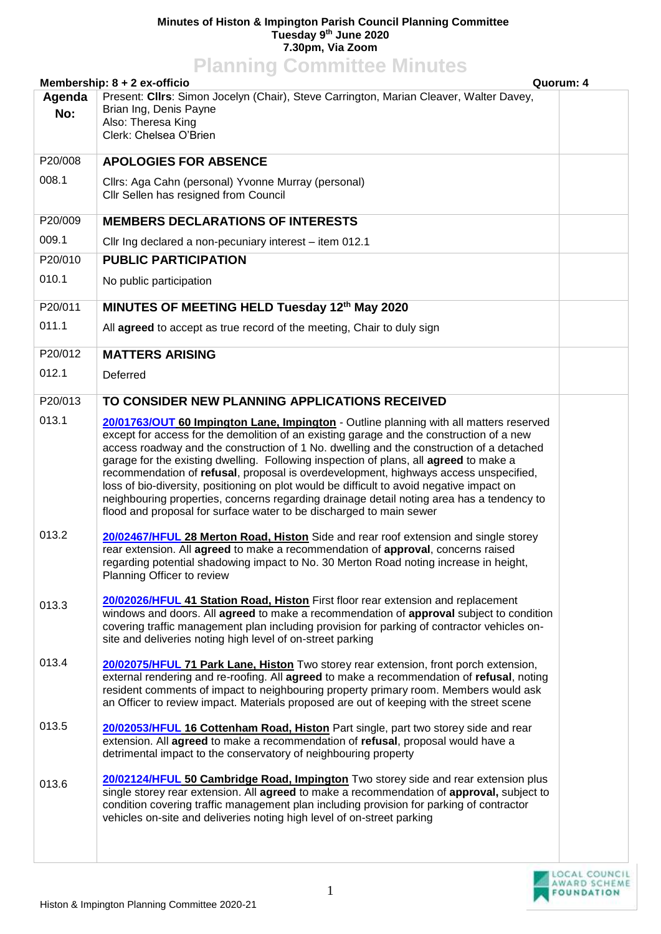## **Minutes of Histon & Impington Parish Council Planning Committee Tuesday 9 th June 2020 7.30pm, Via Zoom Planning Committee Minutes**

| <b>FIGHTING COMMITTEE MINUTES</b><br>Membership: 8 + 2 ex-officio<br>Quorum: 4 |                                                                                                                                                                                                                                                                                                                                                                                                                                                                                                                                                                                                                                                                                                                                  |  |  |
|--------------------------------------------------------------------------------|----------------------------------------------------------------------------------------------------------------------------------------------------------------------------------------------------------------------------------------------------------------------------------------------------------------------------------------------------------------------------------------------------------------------------------------------------------------------------------------------------------------------------------------------------------------------------------------------------------------------------------------------------------------------------------------------------------------------------------|--|--|
| Agenda<br>No:                                                                  | Present: Clirs: Simon Jocelyn (Chair), Steve Carrington, Marian Cleaver, Walter Davey,<br>Brian Ing, Denis Payne<br>Also: Theresa King<br>Clerk: Chelsea O'Brien                                                                                                                                                                                                                                                                                                                                                                                                                                                                                                                                                                 |  |  |
| P20/008                                                                        | <b>APOLOGIES FOR ABSENCE</b>                                                                                                                                                                                                                                                                                                                                                                                                                                                                                                                                                                                                                                                                                                     |  |  |
| 008.1                                                                          | Cllrs: Aga Cahn (personal) Yvonne Murray (personal)<br>Cllr Sellen has resigned from Council                                                                                                                                                                                                                                                                                                                                                                                                                                                                                                                                                                                                                                     |  |  |
| P20/009                                                                        | <b>MEMBERS DECLARATIONS OF INTERESTS</b>                                                                                                                                                                                                                                                                                                                                                                                                                                                                                                                                                                                                                                                                                         |  |  |
| 009.1                                                                          | Cllr Ing declared a non-pecuniary interest – item 012.1                                                                                                                                                                                                                                                                                                                                                                                                                                                                                                                                                                                                                                                                          |  |  |
| P20/010                                                                        | <b>PUBLIC PARTICIPATION</b>                                                                                                                                                                                                                                                                                                                                                                                                                                                                                                                                                                                                                                                                                                      |  |  |
| 010.1                                                                          | No public participation                                                                                                                                                                                                                                                                                                                                                                                                                                                                                                                                                                                                                                                                                                          |  |  |
| P20/011                                                                        | MINUTES OF MEETING HELD Tuesday 12th May 2020                                                                                                                                                                                                                                                                                                                                                                                                                                                                                                                                                                                                                                                                                    |  |  |
| 011.1                                                                          | All agreed to accept as true record of the meeting, Chair to duly sign                                                                                                                                                                                                                                                                                                                                                                                                                                                                                                                                                                                                                                                           |  |  |
| P20/012                                                                        | <b>MATTERS ARISING</b>                                                                                                                                                                                                                                                                                                                                                                                                                                                                                                                                                                                                                                                                                                           |  |  |
| 012.1                                                                          | Deferred                                                                                                                                                                                                                                                                                                                                                                                                                                                                                                                                                                                                                                                                                                                         |  |  |
| P20/013                                                                        | TO CONSIDER NEW PLANNING APPLICATIONS RECEIVED                                                                                                                                                                                                                                                                                                                                                                                                                                                                                                                                                                                                                                                                                   |  |  |
| 013.1                                                                          | 20/01763/OUT 60 Impington Lane, Impington - Outline planning with all matters reserved<br>except for access for the demolition of an existing garage and the construction of a new<br>access roadway and the construction of 1 No. dwelling and the construction of a detached<br>garage for the existing dwelling. Following inspection of plans, all agreed to make a<br>recommendation of refusal, proposal is overdevelopment, highways access unspecified,<br>loss of bio-diversity, positioning on plot would be difficult to avoid negative impact on<br>neighbouring properties, concerns regarding drainage detail noting area has a tendency to<br>flood and proposal for surface water to be discharged to main sewer |  |  |
| 013.2                                                                          | 20/02467/HFUL 28 Merton Road, Histon Side and rear roof extension and single storey<br>rear extension. All agreed to make a recommendation of approval, concerns raised<br>regarding potential shadowing impact to No. 30 Merton Road noting increase in height,<br>Planning Officer to review                                                                                                                                                                                                                                                                                                                                                                                                                                   |  |  |
| 013.3                                                                          | 20/02026/HFUL 41 Station Road, Histon First floor rear extension and replacement<br>windows and doors. All agreed to make a recommendation of approval subject to condition<br>covering traffic management plan including provision for parking of contractor vehicles on-<br>site and deliveries noting high level of on-street parking                                                                                                                                                                                                                                                                                                                                                                                         |  |  |
| 013.4                                                                          | 20/02075/HFUL 71 Park Lane, Histon Two storey rear extension, front porch extension,<br>external rendering and re-roofing. All agreed to make a recommendation of refusal, noting<br>resident comments of impact to neighbouring property primary room. Members would ask<br>an Officer to review impact. Materials proposed are out of keeping with the street scene                                                                                                                                                                                                                                                                                                                                                            |  |  |
| 013.5                                                                          | 20/02053/HFUL 16 Cottenham Road, Histon Part single, part two storey side and rear<br>extension. All agreed to make a recommendation of refusal, proposal would have a<br>detrimental impact to the conservatory of neighbouring property                                                                                                                                                                                                                                                                                                                                                                                                                                                                                        |  |  |
| 013.6                                                                          | 20/02124/HFUL 50 Cambridge Road, Impington Two storey side and rear extension plus<br>single storey rear extension. All agreed to make a recommendation of approval, subject to<br>condition covering traffic management plan including provision for parking of contractor<br>vehicles on-site and deliveries noting high level of on-street parking                                                                                                                                                                                                                                                                                                                                                                            |  |  |
|                                                                                |                                                                                                                                                                                                                                                                                                                                                                                                                                                                                                                                                                                                                                                                                                                                  |  |  |